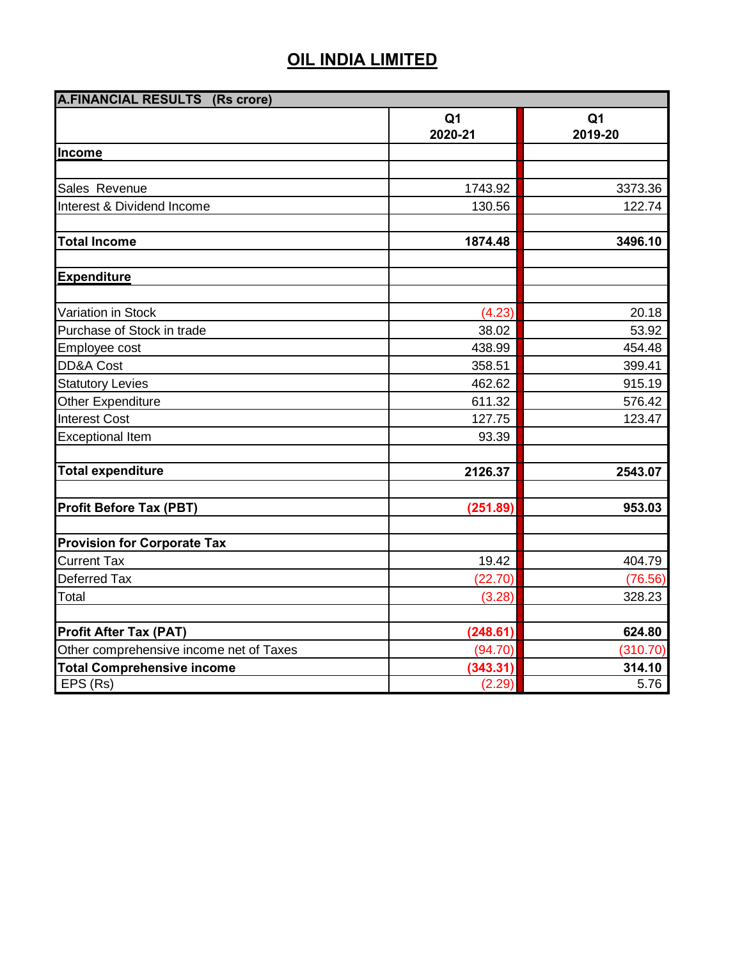| <b>A.FINANCIAL RESULTS (Rs crore)</b> |                                                                                                                  |  |  |
|---------------------------------------|------------------------------------------------------------------------------------------------------------------|--|--|
| Q <sub>1</sub><br>2020-21             | Q <sub>1</sub><br>2019-20                                                                                        |  |  |
|                                       |                                                                                                                  |  |  |
|                                       |                                                                                                                  |  |  |
|                                       | 3373.36                                                                                                          |  |  |
|                                       | 122.74                                                                                                           |  |  |
|                                       |                                                                                                                  |  |  |
|                                       | 3496.10                                                                                                          |  |  |
|                                       |                                                                                                                  |  |  |
|                                       | 20.18                                                                                                            |  |  |
|                                       | 53.92                                                                                                            |  |  |
|                                       | 454.48                                                                                                           |  |  |
|                                       | 399.41                                                                                                           |  |  |
| 462.62                                | 915.19                                                                                                           |  |  |
| 611.32                                | 576.42                                                                                                           |  |  |
| 127.75                                | 123.47                                                                                                           |  |  |
| 93.39                                 |                                                                                                                  |  |  |
| 2126.37                               | 2543.07                                                                                                          |  |  |
| (251.89)                              | 953.03                                                                                                           |  |  |
|                                       |                                                                                                                  |  |  |
| 19.42                                 | 404.79                                                                                                           |  |  |
| (22.70)                               | (76.56)                                                                                                          |  |  |
| (3.28)                                | 328.23                                                                                                           |  |  |
|                                       | 624.80                                                                                                           |  |  |
|                                       | (310.70)                                                                                                         |  |  |
|                                       | 314.10                                                                                                           |  |  |
|                                       | 5.76                                                                                                             |  |  |
|                                       | 1743.92<br>130.56<br>1874.48<br>(4.23)<br>38.02<br>438.99<br>358.51<br>(248.61)<br>(94.70)<br>(343.31)<br>(2.29) |  |  |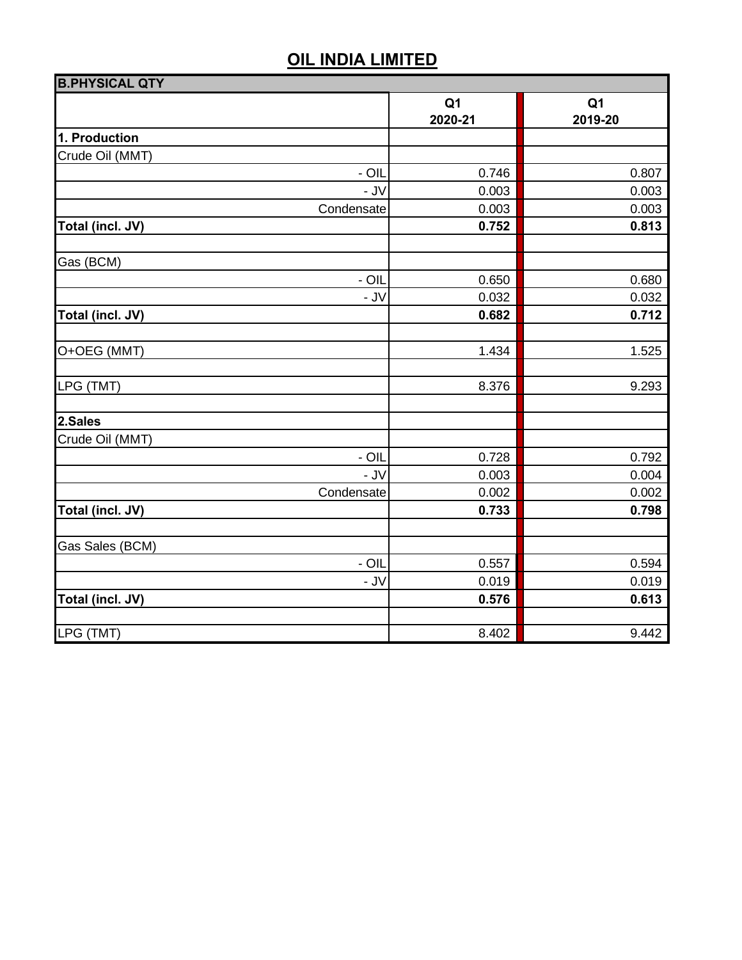| <b>B.PHYSICAL QTY</b> |                           |                           |  |
|-----------------------|---------------------------|---------------------------|--|
|                       | Q <sub>1</sub><br>2020-21 | Q <sub>1</sub><br>2019-20 |  |
| 1. Production         |                           |                           |  |
| Crude Oil (MMT)       |                           |                           |  |
| $-$ OIL               | 0.746                     | 0.807                     |  |
| $-JV$                 | 0.003                     | 0.003                     |  |
| Condensate            | 0.003                     | 0.003                     |  |
| Total (incl. JV)      | 0.752                     | 0.813                     |  |
| Gas (BCM)             |                           |                           |  |
| $-$ OIL               | 0.650                     | 0.680                     |  |
| $-JV$                 | 0.032                     | 0.032                     |  |
| Total (incl. JV)      | 0.682                     | 0.712                     |  |
| O+OEG (MMT)           | 1.434                     | 1.525                     |  |
| LPG (TMT)             | 8.376                     | 9.293                     |  |
| 2.Sales               |                           |                           |  |
| Crude Oil (MMT)       |                           |                           |  |
| - OIL                 | 0.728                     | 0.792                     |  |
| $-JV$                 | 0.003                     | 0.004                     |  |
| Condensate            | 0.002                     | 0.002                     |  |
| Total (incl. JV)      | 0.733                     | 0.798                     |  |
| Gas Sales (BCM)       |                           |                           |  |
| $-$ OIL               | 0.557                     | 0.594                     |  |
| $-JV$                 | 0.019                     | 0.019                     |  |
| Total (incl. JV)      | 0.576                     | 0.613                     |  |
| LPG (TMT)             | 8.402                     | 9.442                     |  |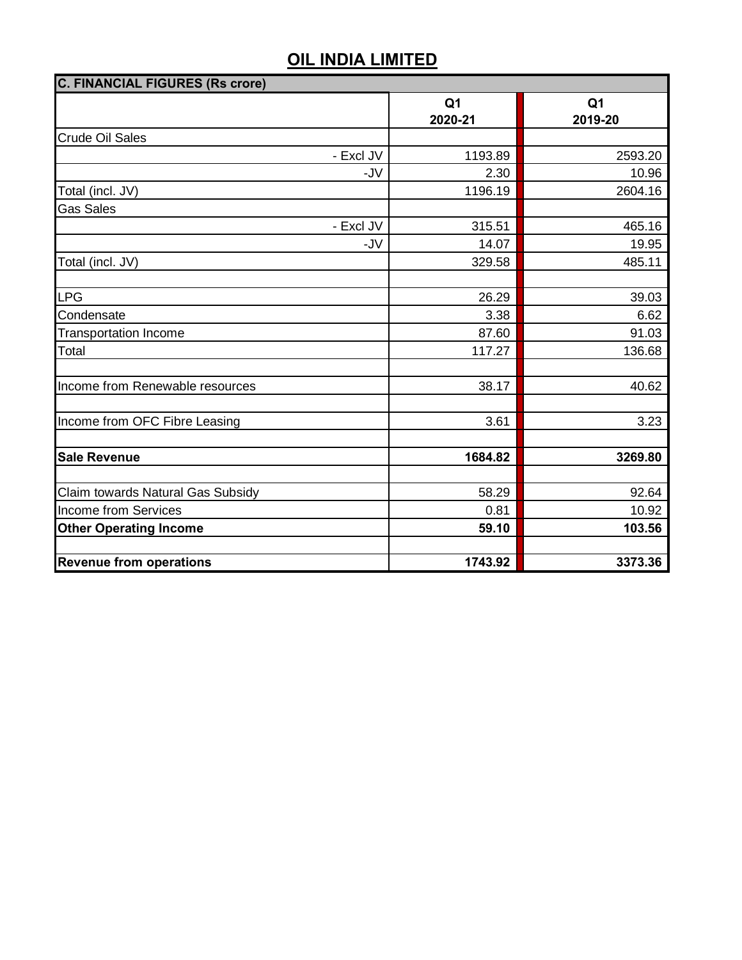| <b>C. FINANCIAL FIGURES (Rs crore)</b> |                           |                           |  |  |
|----------------------------------------|---------------------------|---------------------------|--|--|
|                                        | Q <sub>1</sub><br>2020-21 | Q <sub>1</sub><br>2019-20 |  |  |
| Crude Oil Sales                        |                           |                           |  |  |
| - Excl JV                              | 1193.89                   | 2593.20                   |  |  |
| -JV                                    | 2.30                      | 10.96                     |  |  |
| Total (incl. JV)                       | 1196.19                   | 2604.16                   |  |  |
| <b>Gas Sales</b>                       |                           |                           |  |  |
| - Excl JV                              | 315.51                    | 465.16                    |  |  |
| -JV                                    | 14.07                     | 19.95                     |  |  |
| Total (incl. JV)                       | 329.58                    | 485.11                    |  |  |
|                                        |                           |                           |  |  |
| <b>LPG</b>                             | 26.29                     | 39.03                     |  |  |
| Condensate                             | 3.38                      | 6.62                      |  |  |
| <b>Transportation Income</b>           | 87.60                     | 91.03                     |  |  |
| Total                                  | 117.27                    | 136.68                    |  |  |
|                                        |                           |                           |  |  |
| Income from Renewable resources        | 38.17                     | 40.62                     |  |  |
|                                        |                           |                           |  |  |
| Income from OFC Fibre Leasing          | 3.61                      | 3.23                      |  |  |
|                                        |                           |                           |  |  |
| <b>Sale Revenue</b>                    | 1684.82                   | 3269.80                   |  |  |
| Claim towards Natural Gas Subsidy      | 58.29                     | 92.64                     |  |  |
| <b>Income from Services</b>            | 0.81                      | 10.92                     |  |  |
| <b>Other Operating Income</b>          | 59.10                     | 103.56                    |  |  |
|                                        |                           |                           |  |  |
| <b>Revenue from operations</b>         | 1743.92                   | 3373.36                   |  |  |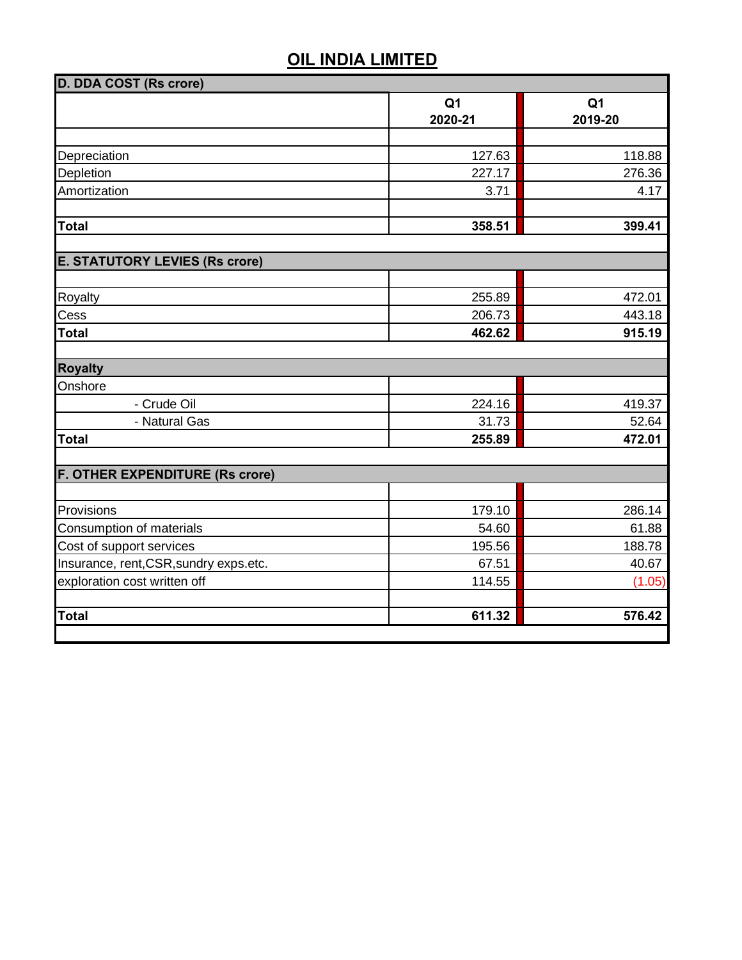| Q <sub>1</sub><br>2020-21<br>127.63<br>227.17 | Q <sub>1</sub><br>2019-20 |
|-----------------------------------------------|---------------------------|
|                                               |                           |
|                                               |                           |
|                                               | 118.88                    |
|                                               | 276.36                    |
| 3.71                                          | 4.17                      |
| 358.51                                        | 399.41                    |
|                                               |                           |
|                                               |                           |
| 255.89                                        | 472.01                    |
| 206.73                                        | 443.18                    |
| 462.62                                        | 915.19                    |
|                                               |                           |
|                                               |                           |
| 224.16                                        | 419.37                    |
| 31.73                                         | 52.64                     |
| 255.89                                        | 472.01                    |
|                                               |                           |
|                                               | 286.14                    |
|                                               | 61.88                     |
|                                               | 188.78                    |
|                                               | 40.67                     |
|                                               |                           |
| 67.51                                         |                           |
| 114.55                                        | (1.05)                    |
|                                               | 179.10<br>54.60<br>195.56 |